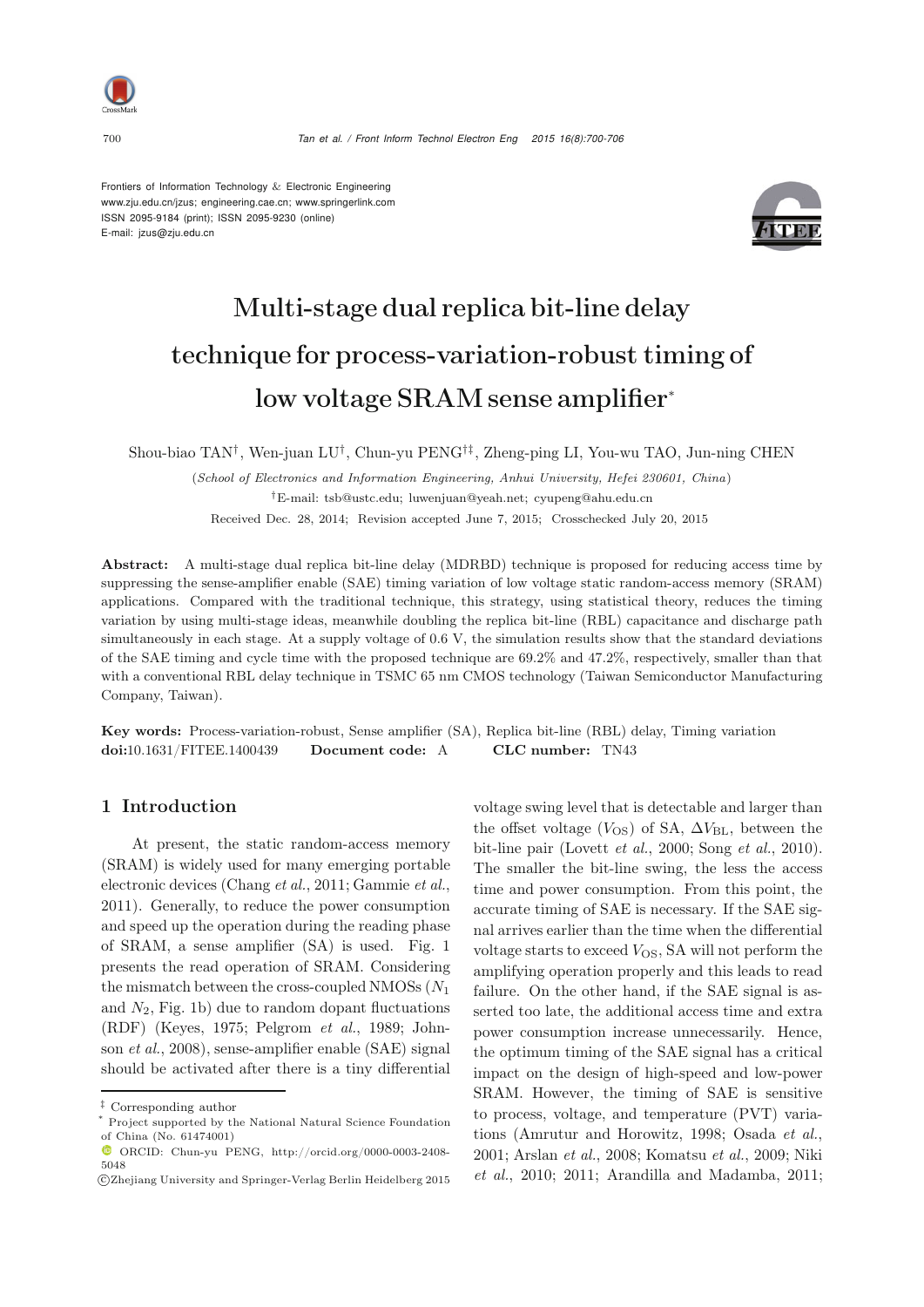

Frontiers of Information Technology & Electronic Engineering www.zju.edu.cn/jzus; engineering.cae.cn; www.springerlink.com ISSN 2095-9184 (print); ISSN 2095-9230 (online) E-mail: jzus@zju.edu.cn



# Multi-stage dual replica bit-line delay technique for process-variation-robust timing of low voltage SRAM sense amplifier<sup>∗</sup>

Shou-biao TAN†, Wen-juan LU†, Chun-yu PENG†‡, Zheng-ping LI, You-wu TAO, Jun-ning CHEN

(*School of Electronics and Information Engineering, Anhui University, Hefei 230601, China*) *†*E-mail: tsb@ustc.edu; luwenjuan@yeah.net; cyupeng@ahu.edu.cn Received Dec. 28, 2014; Revision accepted June 7, 2015; Crosschecked July 20, 2015

Abstract: A multi-stage dual replica bit-line delay (MDRBD) technique is proposed for reducing access time by suppressing the sense-amplifier enable (SAE) timing variation of low voltage static random-access memory (SRAM) applications. Compared with the traditional technique, this strategy, using statistical theory, reduces the timing variation by using multi-stage ideas, meanwhile doubling the replica bit-line (RBL) capacitance and discharge path simultaneously in each stage. At a supply voltage of 0.6 V, the simulation results show that the standard deviations of the SAE timing and cycle time with the proposed technique are 69.2% and 47.2%, respectively, smaller than that with a conventional RBL delay technique in TSMC 65 nm CMOS technology (Taiwan Semiconductor Manufacturing Company, Taiwan).

Key words: Process-variation-robust, Sense amplifier (SA), Replica bit-line (RBL) delay, Timing variation doi:10.1631/FITEE.1400439 Document code: A CLC number: TN43

## 1 Introduction

At present, the static random-access memory (SRAM) is widely used for many emerging portable electronic devices [\(Chang](#page-6-0) *et al.*, [2011;](#page-6-0) [Gammie](#page-6-1) *et al.*, [2011](#page-6-1)). Generally, to reduce the power consumption and speed up the operation during the reading phase of SRAM, a sense amplifier (SA) is used. Fig. 1 presents the read operation of SRAM. Considering the mismatch between the cross-coupled NMOSs  $(N_1)$ and  $N_2$ , Fig. 1b) due to random dopant fluctuations (RDF) [\(Keyes](#page-6-2)[,](#page-6-4) [1975](#page-6-2)[;](#page-6-4) [Pelgrom](#page-6-3) *et al.*, [1989;](#page-6-3) Johnson *et al.*, [2008](#page-6-4)), sense-amplifier enable (SAE) signal should be activated after there is a tiny differential

voltage swing level that is detectable and larger than the offset voltage  $(V_{OS})$  of SA,  $\Delta V_{BL}$ , between the bit-line pair [\(Lovett](#page-6-5) *et al.*, [2000](#page-6-5); [Song](#page-6-6) *et al.*, [2010\)](#page-6-6). The smaller the bit-line swing, the less the access time and power consumption. From this point, the accurate timing of SAE is necessary. If the SAE signal arrives earlier than the time when the differential voltage starts to exceed  $V_{OS}$ , SA will not perform the amplifying operation properly and this leads to read failure. On the other hand, if the SAE signal is asserted too late, the additional access time and extra power consumption increase unnecessarily. Hence, the optimum timing of the SAE signal has a critical impact on the design of high-speed and low-power SRAM. However, the timing of SAE is sensitive to process, voltage, and temperature (PVT) variations (Amrutur and Horowitz, 1998; Osada *et al.*, 2001; Arslan *et al.*, 2008; Komatsu *et al.*, 2009; Niki *et al.*, 2010; 2011; Arandilla and Madamba, 2011;

*<sup>‡</sup>* Corresponding author

Project supported by the National Natural Science Foundation of China (No. 61474001)

ORCID: Chun-yu PENG, http://orcid.org/0000-0003-2408- 5048

c Zhejiang University and Springer-Verlag Berlin Heidelberg 2015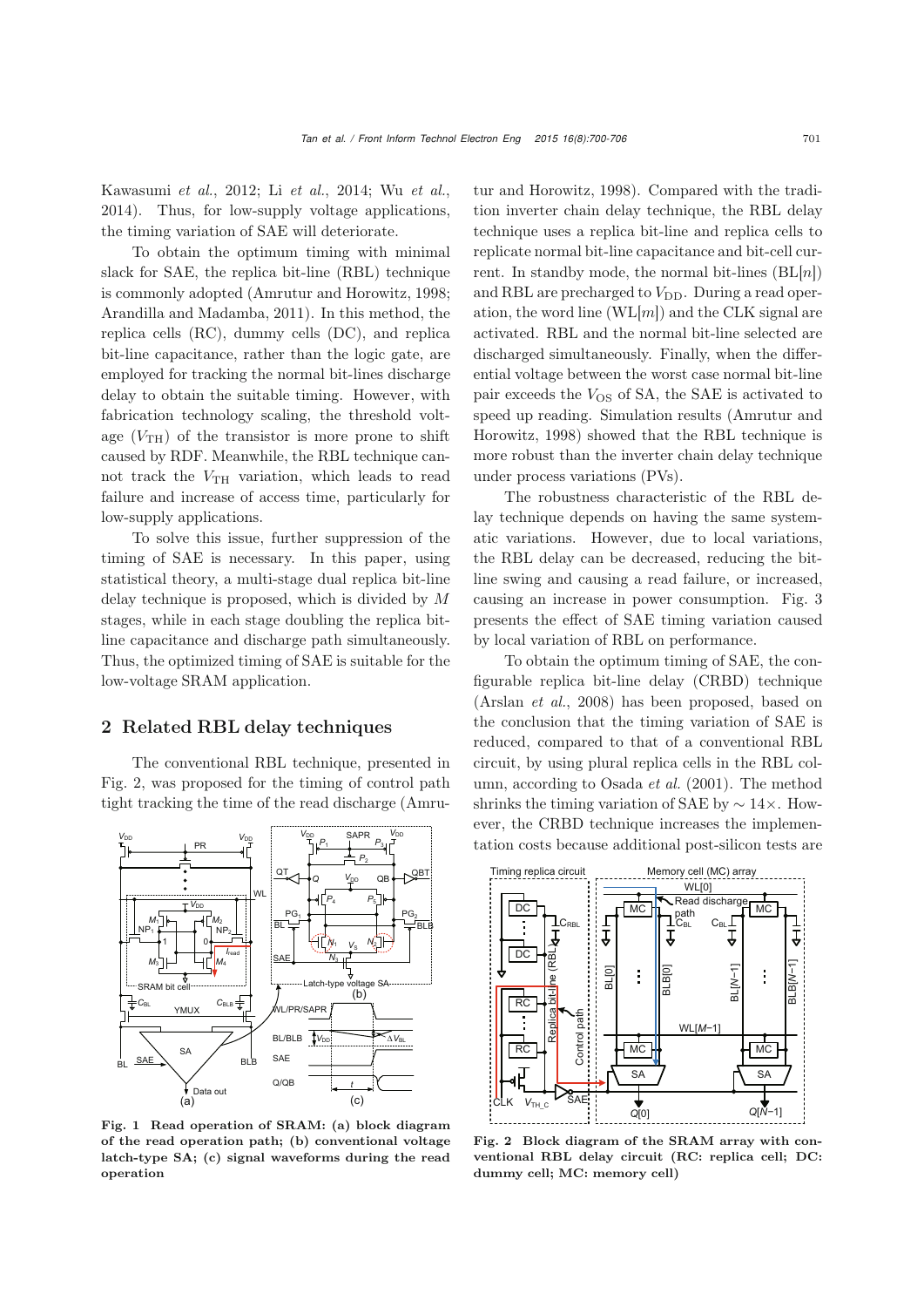Kawasumi *et al.*, 2012; Li *et al.*, 2014; Wu *et al.*, 2014). [Thus, for low-supply voltage applications,](#page-6-7) the timing variation of SAE will deteriorate.

To obtain the optimum timing with minimal slack for SAE, the replica bit-line (RBL) technique is commonly adopted [\(Amrutur and Horowitz](#page-6-7), [1998;](#page-6-7) [Arandilla and Madamba,](#page-6-8) [2011](#page-6-8)). In this method, the replica cells (RC), dummy cells (DC), and replica bit-line capacitance, rather than the logic gate, are employed for tracking the normal bit-lines discharge delay to obtain the suitable timing. However, with fabrication technology scaling, the threshold voltage  $(V<sub>TH</sub>)$  of the transistor is more prone to shift caused by RDF. Meanwhile, the RBL technique cannot track the  $V_{TH}$  variation, which leads to read failure and increase of access time, particularly for low-supply applications.

To solve this issue, further suppression of the timing of SAE is necessary. In this paper, using statistical theory, a multi-stage dual replica bit-line delay technique is proposed, which is divided by M stages, while in each stage doubling the replica bitline capacitance and discharge path simultaneously. Thus, the optimized timing of SAE is suitable for the low-voltage SRAM application.

#### 2 Related RBL delay techniques

The conventional RBL technique, presented in Fig. 2, was proposed for the timing of control path tight tracking the time of the read discharge (Amru-



Fig. 1 Read operation of SRAM: (a) block diagram of the read operation path; (b) conventional voltage latch-type SA; (c) signal waveforms during the read operation

tur and Horowitz, [1998\)](#page-6-7). Compared with the tradition inverter chain delay technique, the RBL delay technique uses a replica bit-line and replica cells to replicate normal bit-line capacitance and bit-cell current. In standby mode, the normal bit-lines  $(BL[n])$ and RBL are precharged to  $V_{\text{DD}}$ . During a read operation, the word line  $(WL[m])$  and the CLK signal are activated. RBL and the normal bit-line selected are discharged simultaneously. Finally, when the differential voltage between the worst case normal bit-line pair exceeds the  $V_{OS}$  of SA, the SAE is activated to speed up [reading.](#page-6-7) [Simulation](#page-6-7) [results](#page-6-7) [\(](#page-6-7)Amrutur and Horowitz, [1998](#page-6-7)) showed that the RBL technique is more robust than the inverter chain delay technique under process variations (PVs).

The robustness characteristic of the RBL delay technique depends on having the same systematic variations. However, due to local variations, the RBL delay can be decreased, reducing the bitline swing and causing a read failure, or increased, causing an increase in power consumption. Fig. 3 presents the effect of SAE timing variation caused by local variation of RBL on performance.

To obtain the optimum timing of SAE, the configurable replica bit-line delay (CRBD) technique [\(Arslan](#page-6-9) *et al.*, [2008](#page-6-9)) has been proposed, based on the conclusion that the timing variation of SAE is reduced, compared to that of a conventional RBL circuit, by using plural replica cells in the RBL column, according to [Osada](#page-6-10) *et al.* [\(2001](#page-6-10)). The method shrinks the timing variation of SAE by  $\sim 14 \times$ . However, the CRBD technique increases the implementation costs because additional post-silicon tests are



Fig. 2 Block diagram of the SRAM array with conventional RBL delay circuit (RC: replica cell; DC: dummy cell; MC: memory cell)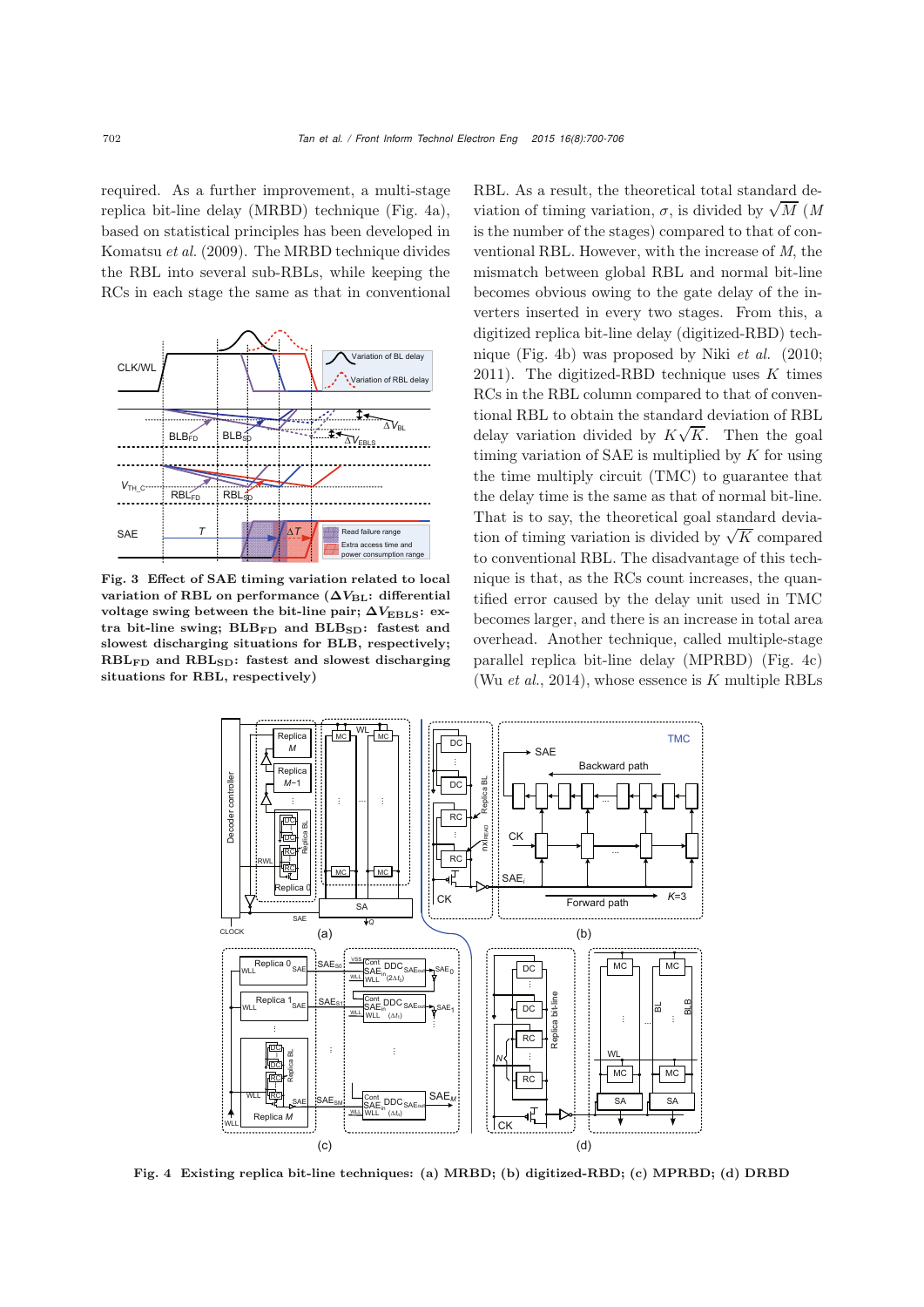required. As a further improvement, a multi-stage replica bit-line delay (MRBD) technique (Fig. 4a), based on statistical principles has been developed in [Komatsu](#page-6-11) *et al.* [\(2009](#page-6-11)). The MRBD technique divides the RBL into several sub-RBLs, while keeping the RCs in each stage the same as that in conventional



Fig. 3 Effect of SAE timing variation related to local variation of RBL on performance ( $\Delta V_{BL}$ : differential voltage swing between the bit-line pair;  $\Delta V_{\text{EBLS}}$ : extra bit-line swing;  $BLB_{FD}$  and  $BLB_{SD}$ : fastest and slowest discharging situations for BLB, respectively; RBLFD and RBLSD: fastest and slowest discharging situations for RBL, respectively)

RBL. As a result, the theoretical total standard deviation of timing variation,  $\sigma$ , is divided by  $\sqrt{M}$  (*M* is the number of the stages) compared to that of conventional RBL. However, with the increase of *M*, the mismatch between global RBL and normal bit-line becomes obvious owing to the gate delay of the inverters inserted in every two stages. From this, a digitized replica bit-line delay (digitized-RBD) technique (Fig. 4b) was proposed by Niki *et al.* (2010; 2011). The digitized-RBD technique uses  $K$  times RCs in the RBL column compared to that of conventional RBL to obtain the standard deviation of RBL delay variation divided by  $K\sqrt{K}$ . Then the goal timing variation of SAE is multiplied by  $K$  for using the time multiply circuit (TMC) to guarantee that the delay time is the same as that of normal bit-line. That is to say, the theoretical goal standard deviation of timing variation is divided by  $\sqrt{K}$  compared to conventional RBL. The disadvantage of this technique is that, as the RCs count increases, the quantified error caused by the delay unit used in TMC becomes larger, and there is an increase in total area overhead. Another technique, called multiple-stage parallel replica bit-line delay (MPRBD) (Fig. 4c) (Wu *[et al.](#page-6-12)*, [2014\)](#page-6-12), whose essence is K multiple RBLs



Fig. 4 Existing replica bit-line techniques: (a) MRBD; (b) digitized-RBD; (c) MPRBD; (d) DRBD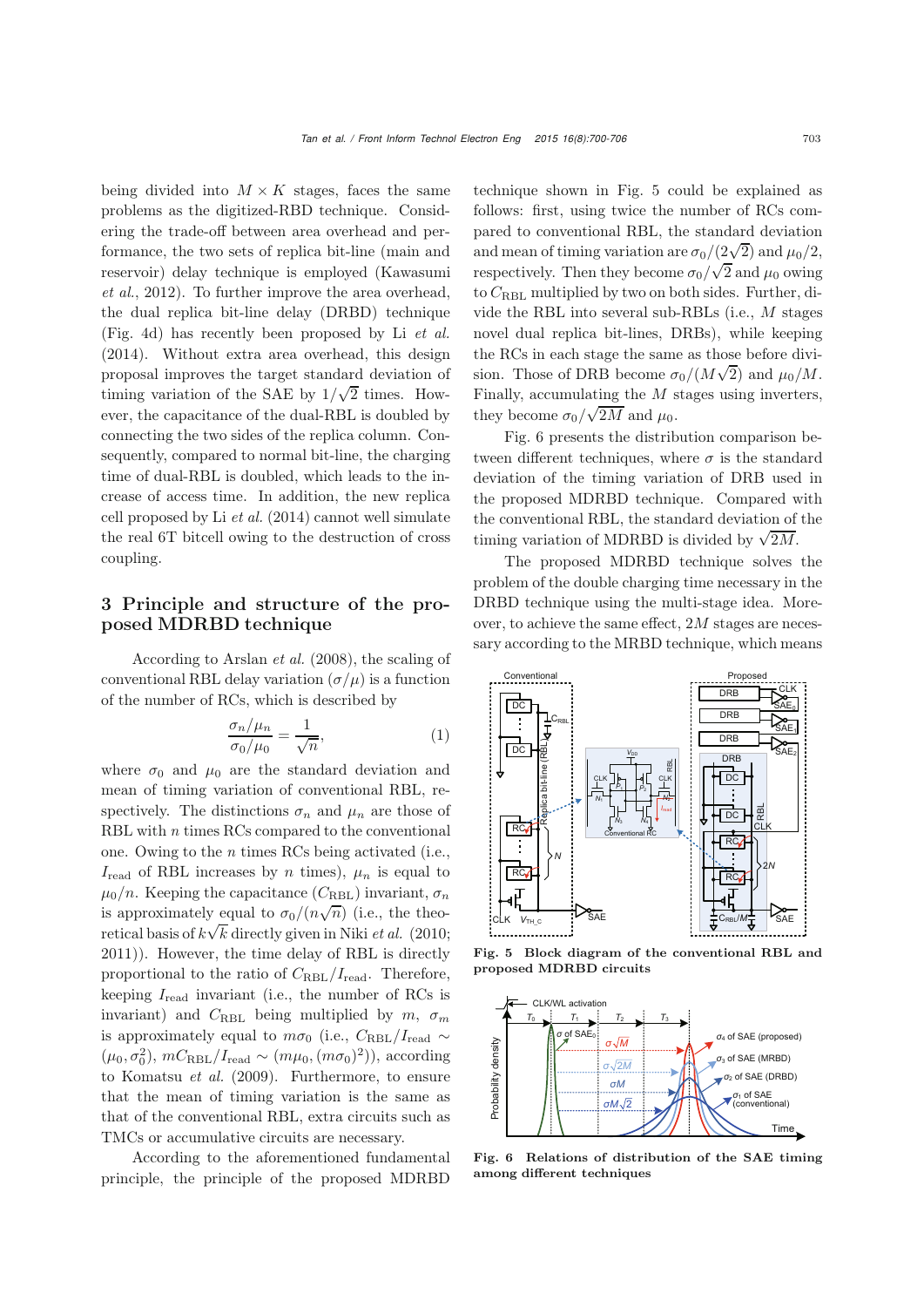being divided into  $M \times K$  stages, faces the same problems as the digitized-RBD technique. Considering the trade-off between area overhead and performance, the two sets of replica bit-line (main and reser[voir\)](#page-6-13) [delay](#page-6-13) [technique](#page-6-13) [is](#page-6-13) [employed](#page-6-13) [\(](#page-6-13)Kawasumi *et al.*, [2012](#page-6-13)). To further improve the area overhead, the dual replica bit-line delay (DRBD) technique (Fig. 4d) has recently been proposed by Li *[et al.](#page-6-14)* [\(2014](#page-6-14)). Without extra area overhead, this design proposal improves the target standard deviation of timing variation of the SAE by  $1/\sqrt{2}$  times. However, the capacitance of the dual-RBL is doubled by connecting the two sides of the replica column. Consequently, compared to normal bit-line, the charging time of dual-RBL is doubled, which leads to the increase of access time. In addition, the new replica cell proposed by Li *[et al.](#page-6-14)* [\(2014](#page-6-14)) cannot well simulate the real 6T bitcell owing to the destruction of cross coupling.

# 3 Principle and structure of the proposed MDRBD technique

According to [Arslan](#page-6-9) *et al.* [\(2008\)](#page-6-9), the scaling of conventional RBL delay variation  $(\sigma/\mu)$  is a function of the number of RCs, which is described by

$$
\frac{\sigma_n/\mu_n}{\sigma_0/\mu_0} = \frac{1}{\sqrt{n}},\tag{1}
$$

where  $\sigma_0$  and  $\mu_0$  are the standard deviation and mean of timing variation of conventional RBL, respectively. The distinctions  $\sigma_n$  and  $\mu_n$  are those of RBL with *n* times RCs compared to the conventional one. Owing to the *n* times RCs being activated (i.e.,  $I_{\text{read}}$  of RBL increases by n times),  $\mu_n$  is equal to  $\mu_0/n$ . Keeping the capacitance  $(C_{RBL})$  invariant,  $\sigma_n$ is approximately equal to  $\sigma_0/(n\sqrt{n})$  (i.e., the theoretical basis of  $k\sqrt{k}$  directly given in Niki *et al.* (2010; 2011)). However, the time delay of RBL is directly proportional to the ratio of  $C_{RBL}/I_{\text{read}}$ . Therefore, keeping  $I_{\text{read}}$  invariant (i.e., the number of RCs is invariant) and  $C_{RBL}$  being multiplied by  $m, \sigma_m$ is approximately equal to  $m\sigma_0$  (i.e.,  $C_{RBL}/I_{\text{read}}$  ~  $(\mu_0, \sigma_0^2)$ ,  $mC_{\rm RBL}/I_{\rm read} \sim (m\mu_0, (m\sigma_0)^2)$ , according to [Komatsu](#page-6-11) *et al.* [\(2009\)](#page-6-11). Furthermore, to ensure that the mean of timing variation is the same as that of the conventional RBL, extra circuits such as TMCs or accumulative circuits are necessary.

According to the aforementioned fundamental principle, the principle of the proposed MDRBD technique shown in Fig. 5 could be explained as follows: first, using twice the number of RCs compared to conventional RBL, the standard deviation and mean of timing variation are  $\sigma_0/(2\sqrt{2})$  and  $\mu_0/2$ , respectively. Then they become  $\sigma_0 / \sqrt{2}$  and  $\mu_0$  owing to  $C_{RBL}$  multiplied by two on both sides. Further, divide the RBL into several sub-RBLs (i.e., M stages novel dual replica bit-lines, DRBs), while keeping the RCs in each stage the same as those before division. Those of DRB become  $\sigma_0/(M\sqrt{2})$  and  $\mu_0/M$ . Finally, accumulating the  $M$  stages using inverters, they become  $\sigma_0/\sqrt{2M}$  and  $\mu_0$ .

Fig. 6 presents the distribution comparison between different techniques, where  $\sigma$  is the standard deviation of the timing variation of DRB used in the proposed MDRBD technique. Compared with the conventional RBL, the standard deviation of the timing variation of MDRBD is divided by  $\sqrt{2M}$ .

The proposed MDRBD technique solves the problem of the double charging time necessary in the DRBD technique using the multi-stage idea. Moreover, to achieve the same effect, 2M stages are necessary according to the MRBD technique, which means



Fig. 5 Block diagram of the conventional RBL and proposed MDRBD circuits



Fig. 6 Relations of distribution of the SAE timing among different techniques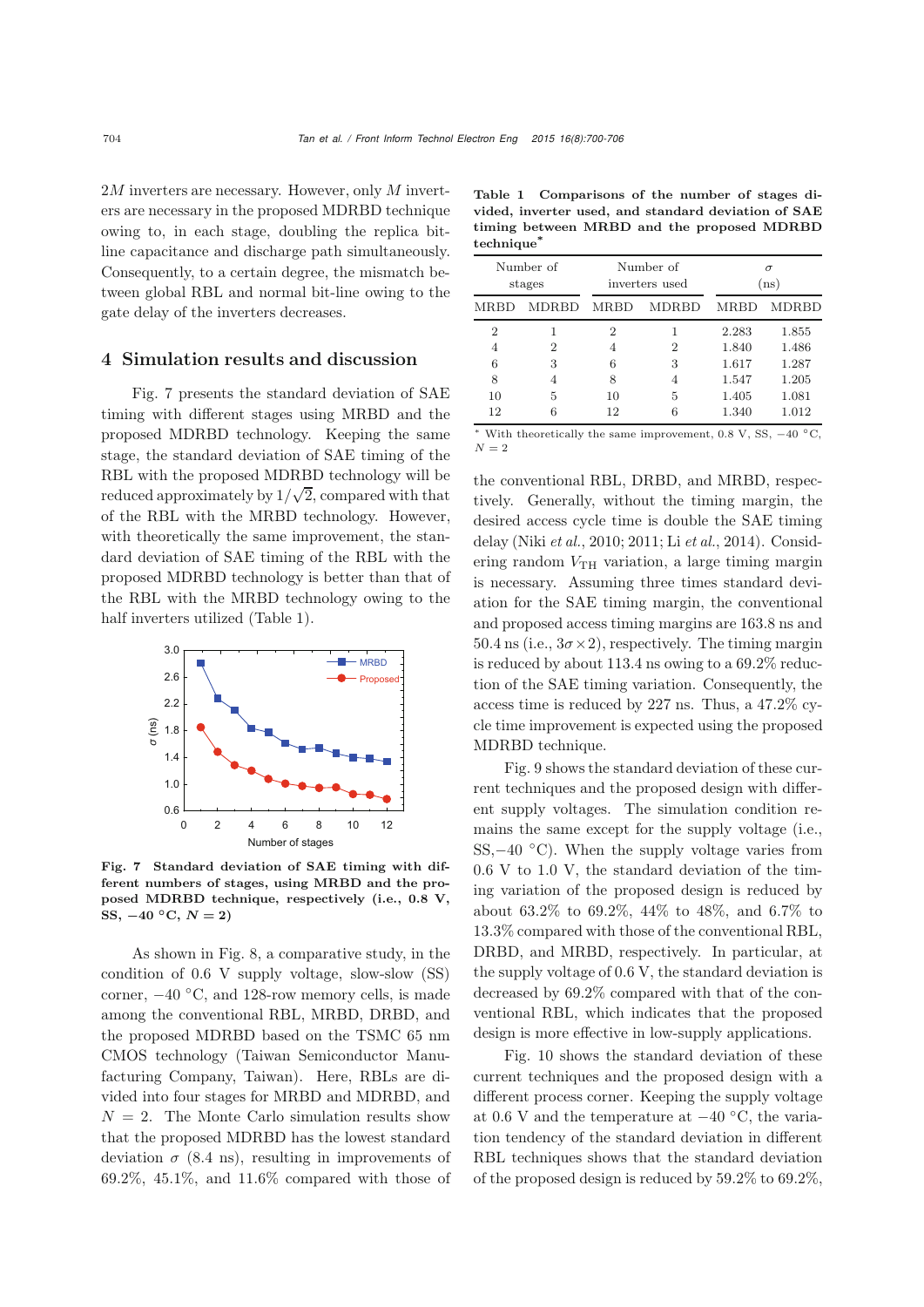$2M$  inverters are necessary. However, only M inverters are necessary in the proposed MDRBD technique owing to, in each stage, doubling the replica bitline capacitance and discharge path simultaneously. Consequently, to a certain degree, the mismatch between global RBL and normal bit-line owing to the gate delay of the inverters decreases.

#### 4 Simulation results and discussion

Fig. 7 presents the standard deviation of SAE timing with different stages using MRBD and the proposed MDRBD technology. Keeping the same stage, the standard deviation of SAE timing of the RBL with the proposed MDRBD technology will be reduced approximately by  $1/\sqrt{2}$ , compared with that of the RBL with the MRBD technology. However, with theoretically the same improvement, the standard deviation of SAE timing of the RBL with the proposed MDRBD technology is better than that of the RBL with the MRBD technology owing to the half inverters utilized (Table 1).



Fig. 7 Standard deviation of SAE timing with different numbers of stages, using MRBD and the proposed MDRBD technique, respectively (i.e., 0.8 V, SS,  $-40 °C$ ,  $N = 2$ )

As shown in Fig. 8, a comparative study, in the condition of 0.6 V supply voltage, slow-slow (SS) corner,  $-40$  °C, and 128-row memory cells, is made among the conventional RBL, MRBD, DRBD, and the proposed MDRBD based on the TSMC 65 nm CMOS technology (Taiwan Semiconductor Manufacturing Company, Taiwan). Here, RBLs are divided into four stages for MRBD and MDRBD, and  $N = 2$ . The Monte Carlo simulation results show that the proposed MDRBD has the lowest standard deviation  $\sigma$  (8.4 ns), resulting in improvements of 69.2%, 45.1%, and 11.6% compared with those of

Table 1 Comparisons of the number of stages divided, inverter used, and standard deviation of SAE timing between MRBD and the proposed MDRBD technique<sup>\*</sup>

| Number of      |              |             | Number of      | $\sigma$ |              |
|----------------|--------------|-------------|----------------|----------|--------------|
| stages         |              |             | inverters used | (ns)     |              |
| MRBD           | <b>MDRBD</b> | <b>MRBD</b> | MDRBD          | MRBD     | <b>MDRBD</b> |
| $\overline{2}$ | 1            | 2           | 2              | 2.283    | 1.855        |
| 4              | 2            | 4           |                | 1.840    | 1.486        |
| 6              | 3            | 6           | 3              | 1.617    | 1.287        |
| 8              | 4            | 8           | 4              | 1.547    | 1.205        |
| 10             | 5            | 10          | 5              | 1.405    | 1.081        |
| 12             | 6            | 12          | 6              | 1.340    | 1.012        |

<sup>∗</sup> With theoretically the same improvement, 0.8 V, SS, <sup>−</sup><sup>40</sup> ◦C,  $N = 2$ 

the conventional RBL, DRBD, and MRBD, respectively. Generally, without the timing margin, the desired access cycle time is double the SAE timing delay (Niki *et al.*, 2010; 2011; Li *et al.*, 2014). Considering random  $V_{TH}$  variation, a large timing margin is necessary. Assuming three times standard deviation for the SAE timing margin, the conventional and proposed access timing margins are 163.8 ns and  $50.4 \text{ ns}$  (i.e.,  $3\sigma \times 2$ ), respectively. The timing margin is reduced by about 113.4 ns owing to a 69.2% reduction of the SAE timing variation. Consequently, the access time is reduced by 227 ns. Thus, a 47.2% cycle time improvement is expected using the proposed MDRBD technique.

Fig. 9 shows the standard deviation of these current techniques and the proposed design with different supply voltages. The simulation condition remains the same except for the supply voltage (i.e., SS, $-40$  °C). When the supply voltage varies from 0.6 V to 1.0 V, the standard deviation of the timing variation of the proposed design is reduced by about 63.2% to 69.2%, 44% to 48%, and 6.7% to 13.3% compared with those of the conventional RBL, DRBD, and MRBD, respectively. In particular, at the supply voltage of 0.6 V, the standard deviation is decreased by 69.2% compared with that of the conventional RBL, which indicates that the proposed design is more effective in low-supply applications.

Fig. 10 shows the standard deviation of these current techniques and the proposed design with a different process corner. Keeping the supply voltage at 0.6 V and the temperature at  $-40$  °C, the variation tendency of the standard deviation in different RBL techniques shows that the standard deviation of the proposed design is reduced by 59.2% to 69.2%,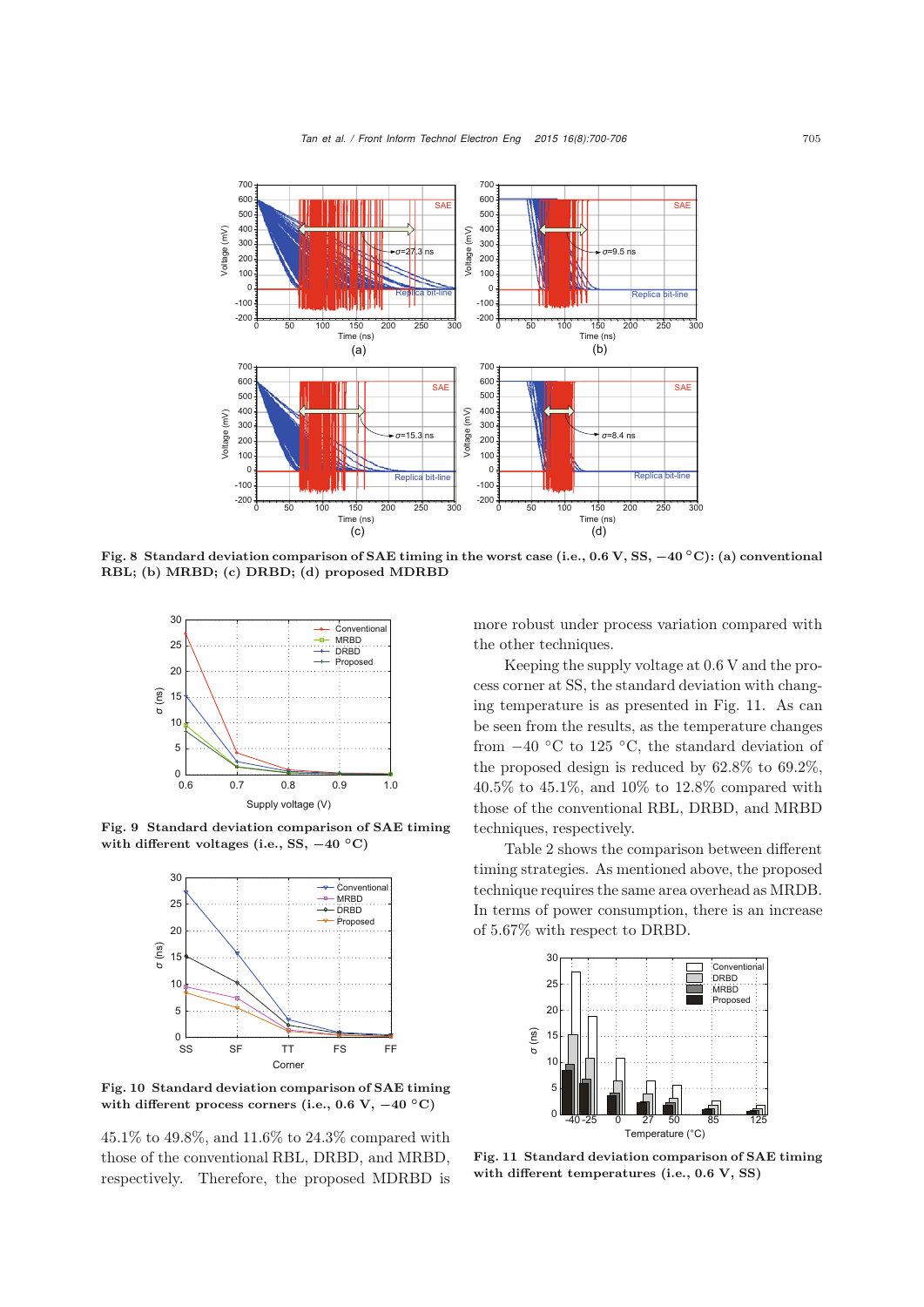

Fig. 8 Standard deviation comparison of SAE timing in the worst case (i.e., 0.6 V, SS, *−***40** *◦*C): (a) conventional RBL; (b) MRBD; (c) DRBD; (d) proposed MDRBD



Fig. 9 Standard deviation comparison of SAE timing with different voltages (i.e., SS, *−***40** *◦*C)



Fig. 10 Standard deviation comparison of SAE timing with different process corners (i.e., 0.6 V, *−***40** *◦*C)

45.1% to 49.8%, and 11.6% to 24.3% compared with those of the conventional RBL, DRBD, and MRBD, respectively. Therefore, the proposed MDRBD is more robust under process variation compared with the other techniques.

Keeping the supply voltage at 0.6 V and the process corner at SS, the standard deviation with changing temperature is as presented in Fig. 11. As can be seen from the results, as the temperature changes from  $-40$  °C to 125 °C, the standard deviation of the proposed design is reduced by 62.8% to 69.2%, 40.5% to 45.1%, and 10% to 12.8% compared with those of the conventional RBL, DRBD, and MRBD techniques, respectively.

Table 2 shows the comparison between different timing strategies. As mentioned above, the proposed technique requires the same area overhead as MRDB. In terms of power consumption, there is an increase of 5.67% with respect to DRBD.



Fig. 11 Standard deviation comparison of SAE timing with different temperatures (i.e., 0.6 V, SS)